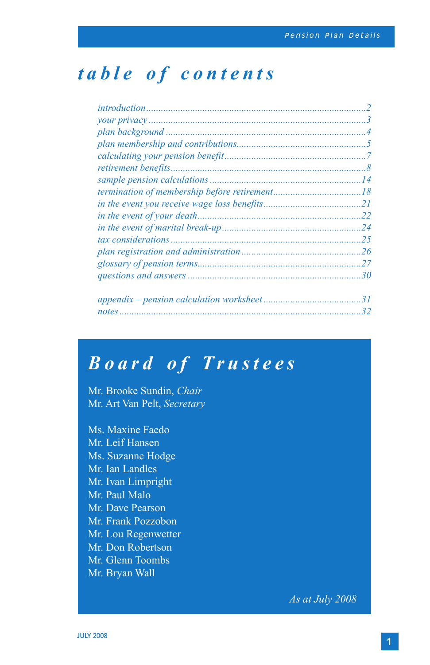## *table of contents*

## *Board of Trustees*

Mr. Brooke Sundin, *Chair* Mr. Art Van Pelt, *Secretary*

Ms. Maxine Faedo Mr. Leif Hansen Ms. Suzanne Hodge Mr. Ian Landles Mr. Ivan Limpright Mr. Paul Malo Mr. Dave Pearson Mr. Frank Pozzobon Mr. Lou Regenwetter Mr. Don Robertson Mr. Glenn Toombs Mr. Bryan Wall

*As at July 2008*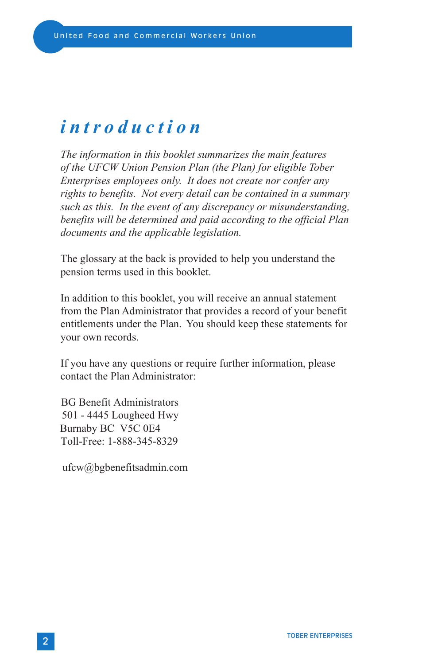## *introduction*

*The information in this booklet summarizes the main features of the UFCW Union Pension Plan (the Plan) for eligible Tober Enterprises employees only. It does not create nor confer any rights to benefits. Not every detail can be contained in a summary such as this. In the event of any discrepancy or misunderstanding, benefits will be determined and paid according to the official Plan documents and the applicable legislation.*

The glossary at the back is provided to help you understand the pension terms used in this booklet.

In addition to this booklet, you will receive an annual statement from the Plan Administrator that provides a record of your benefit entitlements under the Plan. You should keep these statements for your own records.

If you have any questions or require further information, please contact the Plan Administrator:

 BG Benefit Administrators 501 - 4445 Lougheed Hwy Burnaby BC V5C 0E4 Toll-Free: 1-888-345-8329

ufcw@bgbenefitsadmin.com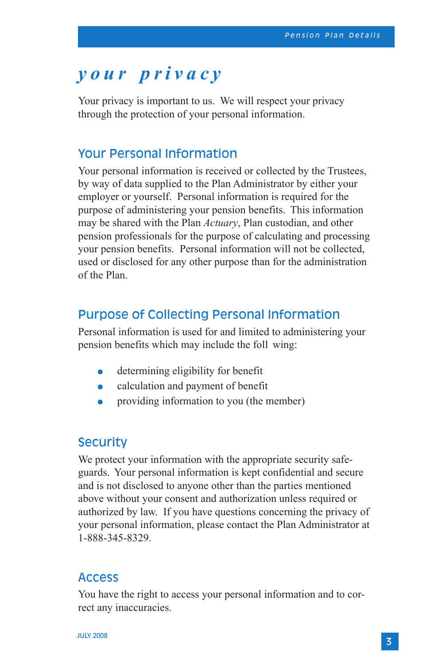## *your privacy*

Your privacy is important to us. We will respect your privacy through the protection of your personal information.

### Your Personal Information

Your personal information is received or collected by the Trustees, by way of data supplied to the Plan Administrator by either your employer or yourself. Personal information is required for the purpose of administering your pension benefits. This information may be shared with the Plan *Actuary*, Plan custodian, and other pension professionals for the purpose of calculating and processing your pension benefits. Personal information will not be collected, used or disclosed for any other purpose than for the administration of the Plan.

### Purpose of Collecting Personal Information

Personal information is used for and limited to administering your pension benefits which may include the foll wing:

- **determining eligibility for benefit**
- calculation and payment of benefit
- providing information to you (the member)

### **Security**

We protect your information with the appropriate security safeguards. Your personal information is kept confidential and secure and is not disclosed to anyone other than the parties mentioned above without your consent and authorization unless required or authorized by law. If you have questions concerning the privacy of your personal information, please contact the Plan Administrator at 1-888-345-8329.

### Access

You have the right to access your personal information and to correct any inaccuracies.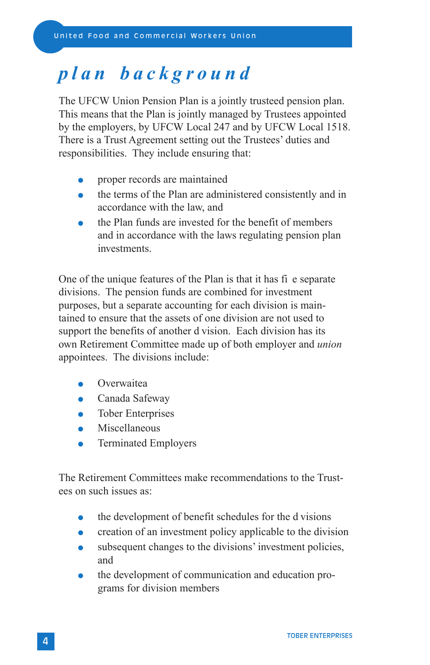## *plan background*

The UFCW Union Pension Plan is a jointly trusteed pension plan. This means that the Plan is jointly managed by Trustees appointed by the employers, by UFCW Local 247 and by UFCW Local 1518. There is a Trust Agreement setting out the Trustees' duties and responsibilities. They include ensuring that:

- proper records are maintained
- the terms of the Plan are administered consistently and in accordance with the law, and
- the Plan funds are invested for the benefit of members and in accordance with the laws regulating pension plan investments.

One of the unique features of the Plan is that it has fi e separate divisions. The pension funds are combined for investment purposes, but a separate accounting for each division is maintained to ensure that the assets of one division are not used to support the benefits of another d vision. Each division has its own Retirement Committee made up of both employer and *union* appointees. The divisions include:

- **Overwaitea**
- Canada Safeway
- Tober Enterprises
- Miscellaneous
- Terminated Employers

The Retirement Committees make recommendations to the Trustees on such issues as:

- the development of benefit schedules for the d visions
- creation of an investment policy applicable to the division
- subsequent changes to the divisions' investment policies, and
- the development of communication and education programs for division members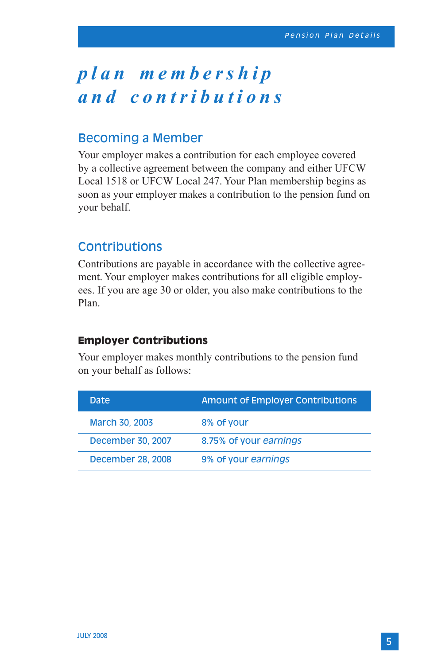# *p l a n m e m b e r s h i p and contributions*

## Becoming a Member

Your employer makes a contribution for each employee covered by a collective agreement between the company and either UFCW Local 1518 or UFCW Local 247. Your Plan membership begins as soon as your employer makes a contribution to the pension fund on your behalf.

### Contributions

Contributions are payable in accordance with the collective agreement. Your employer makes contributions for all eligible employees. If you are age 30 or older, you also make contributions to the Plan.

### **Employer Contributions**

Your employer makes monthly contributions to the pension fund on your behalf as follows:

| Date              | <b>Amount of Employer Contributions</b> |
|-------------------|-----------------------------------------|
| March 30, 2003    | 8% of your                              |
| December 30, 2007 | 8.75% of your earnings                  |
| December 28, 2008 | 9% of your earnings                     |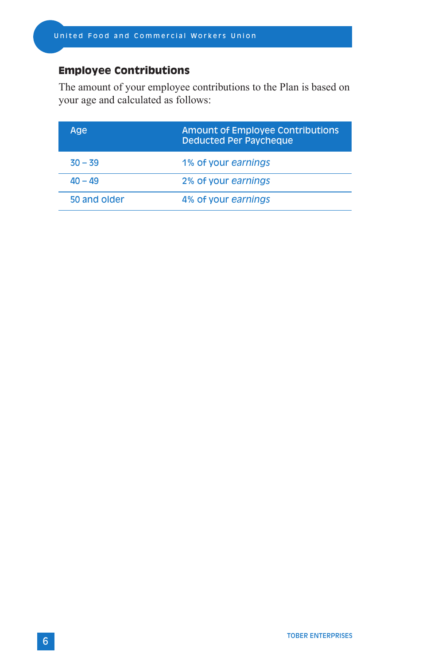## **Employee Contributions**

The amount of your employee contributions to the Plan is based on your age and calculated as follows:

| Age          | <b>Amount of Employee Contributions</b><br><b>Deducted Per Paycheque</b> |
|--------------|--------------------------------------------------------------------------|
| $30 - 39$    | 1% of your earnings                                                      |
| $40 - 49$    | 2% of your earnings                                                      |
| 50 and older | 4% of your earnings                                                      |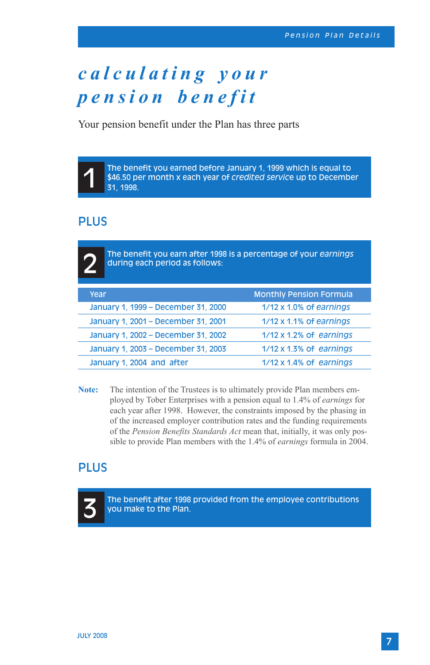# *c a l c u l a t i n g y o u r pension benefit*

Your pension benefit under the Plan has three parts

The benefit you earned before January 1, 1999 which is equal to \$46.50 per month x each year of *credited servic*e up to December 31, 1998.

## PLUS

2

1

The benefit you earn after 1998 is a percentage of your *earnings*  during each period as follows:

| Year                                | <b>Monthly Pension Formula</b>  |
|-------------------------------------|---------------------------------|
| January 1, 1999 - December 31, 2000 | 1/12 x 1.0% of earnings         |
| January 1, 2001 - December 31, 2001 | 1/12 x 1.1% of earnings         |
| January 1, 2002 - December 31, 2002 | $1/12 \times 1.2\%$ of earnings |
| January 1, 2003 - December 31, 2003 | $1/12 \times 1.3\%$ of earnings |
| January 1, 2004 and after           | $1/12 \times 1.4\%$ of earnings |

**Note:** The intention of the Trustees is to ultimately provide Plan members employed by Tober Enterprises with a pension equal to 1.4% of *earnings* for each year after 1998. However, the constraints imposed by the phasing in of the increased employer contribution rates and the funding requirements of the *Pension Benefits Standards Act* mean that, initially, it was only possible to provide Plan members with the 1.4% of *earnings* formula in 2004.

### PLUS



The benefit after 1998 provided from the employee contributions you make to the Plan.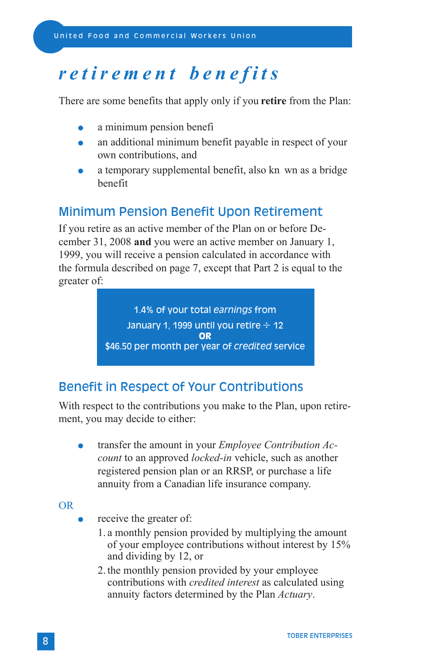## *retirement benefits*

There are some benefits that apply only if you **retire** from the Plan:

- a minimum pension benefi
- an additional minimum benefit payable in respect of your own contributions, and
- a temporary supplemental benefit, also kn wn as a bridge benefit

## Minimum Pension Benefit Upon Retirement

If you retire as an active member of the Plan on or before December 31, 2008 **and** you were an active member on January 1, 1999, you will receive a pension calculated in accordance with the formula described on page 7, except that Part 2 is equal to the greater of:

> 1.4% of your total *earnings* from January 1, 1999 until you retire  $\div$  12 **OR** \$46.50 per month per year of *credited* service

## Benefit in Respect of Your Contributions

With respect to the contributions you make to the Plan, upon retirement, you may decide to either:

 transfer the amount in your *Employee Contribution Account* to an approved *locked-in* vehicle, such as another registered pension plan or an RRSP, or purchase a life annuity from a Canadian life insurance company.

OR

- receive the greater of:
	- 1. a monthly pension provided by multiplying the amount of your employee contributions without interest by 15% and dividing by 12, or
	- 2. the monthly pension provided by your employee contributions with *credited interest* as calculated using annuity factors determined by the Plan *Actuary*.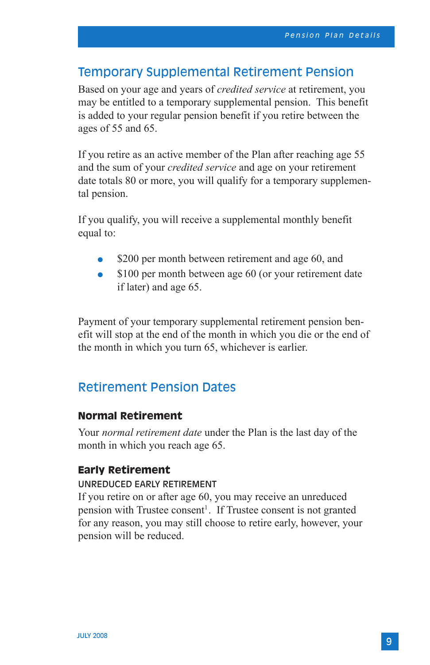### Temporary Supplemental Retirement Pension

Based on your age and years of *credited service* at retirement, you may be entitled to a temporary supplemental pension. This benefit is added to your regular pension benefit if you retire between the ages of 55 and 65.

If you retire as an active member of the Plan after reaching age 55 and the sum of your *credited service* and age on your retirement date totals 80 or more, you will qualify for a temporary supplemental pension.

If you qualify, you will receive a supplemental monthly benefit equal to:

- \$200 per month between retirement and age 60, and
- \$100 per month between age 60 (or your retirement date if later) and age 65.

Payment of your temporary supplemental retirement pension benefit will stop at the end of the month in which you die or the end of the month in which you turn 65, whichever is earlier.

### Retirement Pension Dates

### **Normal Retirement**

Your *normal retirement date* under the Plan is the last day of the month in which you reach age 65.

### **Early Retirement**

#### Unreduced Early Retirement

If you retire on or after age 60, you may receive an unreduced pension with Trustee consent<sup>1</sup>. If Trustee consent is not granted for any reason, you may still choose to retire early, however, your pension will be reduced.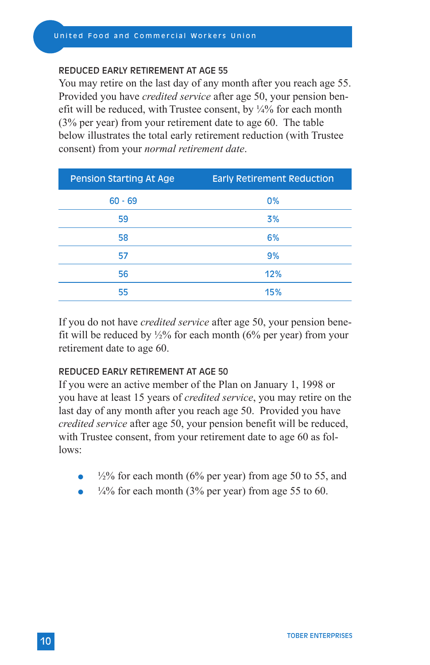#### Uni ted Food and Commercial Workers Union

#### Reduced Early Retirement at age 55

You may retire on the last day of any month after you reach age 55. Provided you have *credited service* after age 50, your pension benefit will be reduced, with Trustee consent, by  $\frac{1}{4}\%$  for each month (3% per year) from your retirement date to age 60. The table below illustrates the total early retirement reduction (with Trustee consent) from your *normal retirement date*.

| <b>Pension Starting At Age</b> | <b>Early Retirement Reduction</b> |
|--------------------------------|-----------------------------------|
| $60 - 69$                      | 0%                                |
| 59                             | 3%                                |
| 58                             | 6%                                |
| 57                             | 9%                                |
| 56                             | 12%                               |
| 55                             | 15%                               |

If you do not have *credited service* after age 50, your pension benefit will be reduced by  $\frac{1}{2}\%$  for each month (6% per year) from your retirement date to age 60.

### Reduced Early Retirement at age 50

If you were an active member of the Plan on January 1, 1998 or you have at least 15 years of *credited service*, you may retire on the last day of any month after you reach age 50. Provided you have *credited service* after age 50, your pension benefit will be reduced, with Trustee consent, from your retirement date to age 60 as follows:

- $\frac{1}{2}\%$  for each month (6% per year) from age 50 to 55, and
- $\frac{1}{4}$ % for each month (3% per year) from age 55 to 60.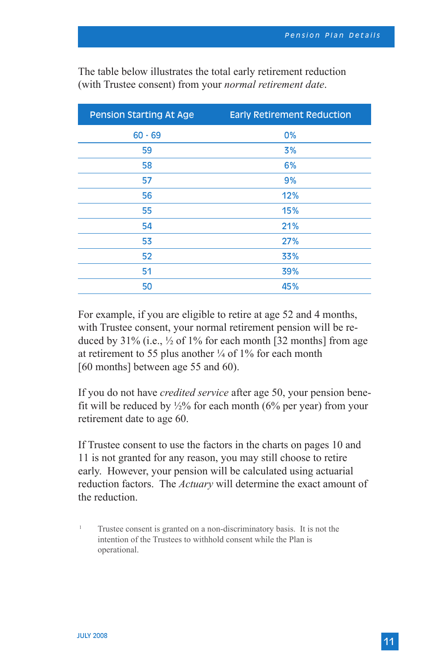| <b>Pension Starting At Age</b> | <b>Early Retirement Reduction</b> |
|--------------------------------|-----------------------------------|
| $60 - 69$                      | 0%                                |
| 59                             | 3%                                |
| 58                             | 6%                                |
| 57                             | 9%                                |
| 56                             | 12%                               |
| 55                             | 15%                               |
| 54                             | 21%                               |
| 53                             | 27%                               |
| 52                             | 33%                               |
| 51                             | 39%                               |
| 50                             | 45%                               |
|                                |                                   |

The table below illustrates the total early retirement reduction (with Trustee consent) from your *normal retirement date*.

For example, if you are eligible to retire at age 52 and 4 months, with Trustee consent, your normal retirement pension will be reduced by  $31\%$  (i.e.,  $\frac{1}{2}$  of  $1\%$  for each month [32 months] from age at retirement to 55 plus another  $\frac{1}{4}$  of 1% for each month [60 months] between age 55 and 60).

If you do not have *credited service* after age 50, your pension benefit will be reduced by  $\frac{1}{2}\%$  for each month (6% per year) from your retirement date to age 60.

If Trustee consent to use the factors in the charts on pages 10 and 11 is not granted for any reason, you may still choose to retire early. However, your pension will be calculated using actuarial reduction factors. The *Actuary* will determine the exact amount of the reduction.

<sup>1</sup> Trustee consent is granted on a non-discriminatory basis. It is not the intention of the Trustees to withhold consent while the Plan is operational.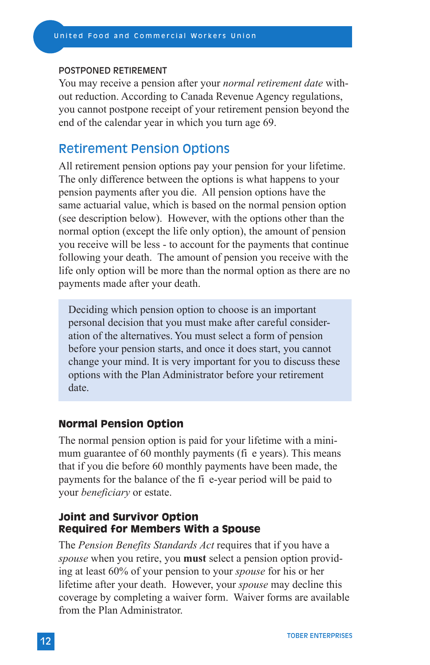#### Postponed Retirement

You may receive a pension after your *normal retirement date* without reduction. According to Canada Revenue Agency regulations, you cannot postpone receipt of your retirement pension beyond the end of the calendar year in which you turn age 69.

### Retirement Pension Options

All retirement pension options pay your pension for your lifetime. The only difference between the options is what happens to your pension payments after you die. All pension options have the same actuarial value, which is based on the normal pension option (see description below). However, with the options other than the normal option (except the life only option), the amount of pension you receive will be less - to account for the payments that continue following your death. The amount of pension you receive with the life only option will be more than the normal option as there are no payments made after your death.

Deciding which pension option to choose is an important personal decision that you must make after careful consideration of the alternatives. You must select a form of pension before your pension starts, and once it does start, you cannot change your mind. It is very important for you to discuss these options with the Plan Administrator before your retirement date.

### **Normal Pension Option**

The normal pension option is paid for your lifetime with a minimum guarantee of 60 monthly payments (fi e years). This means that if you die before 60 monthly payments have been made, the payments for the balance of the fi e-year period will be paid to your *beneficiary* or estate.

### **Joint and Survivor Option Required for Members With a Spouse**

The *Pension Benefits Standards Act* requires that if you have a *spouse* when you retire, you **must** select a pension option providing at least 60% of your pension to your *spouse* for his or her lifetime after your death. However, your *spouse* may decline this coverage by completing a waiver form. Waiver forms are available from the Plan Administrator.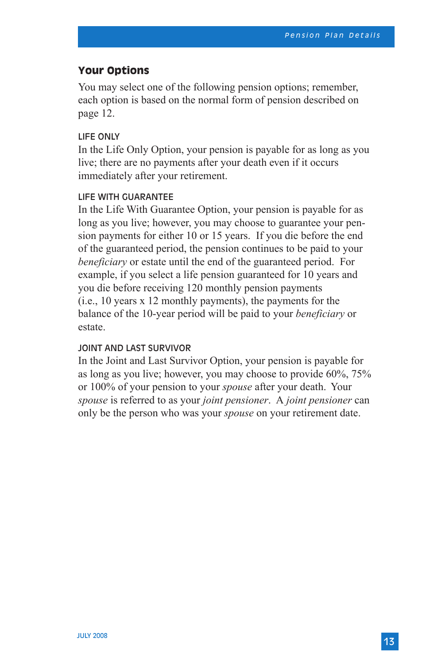### **Your Options**

You may select one of the following pension options; remember, each option is based on the normal form of pension described on page 12.

#### Life Only

In the Life Only Option, your pension is payable for as long as you live; there are no payments after your death even if it occurs immediately after your retirement.

### Life with Guarantee

In the Life With Guarantee Option, your pension is payable for as long as you live; however, you may choose to guarantee your pension payments for either 10 or 15 years. If you die before the end of the guaranteed period, the pension continues to be paid to your *beneficiary* or estate until the end of the guaranteed period. For example, if you select a life pension guaranteed for 10 years and you die before receiving 120 monthly pension payments (i.e., 10 years x 12 monthly payments), the payments for the balance of the 10-year period will be paid to your *beneficiary* or estate.

### Joint and Last Survivor

In the Joint and Last Survivor Option, your pension is payable for as long as you live; however, you may choose to provide 60%, 75% or 100% of your pension to your *spouse* after your death. Your *spouse* is referred to as your *joint pensioner*. A *joint pensioner* can only be the person who was your *spouse* on your retirement date.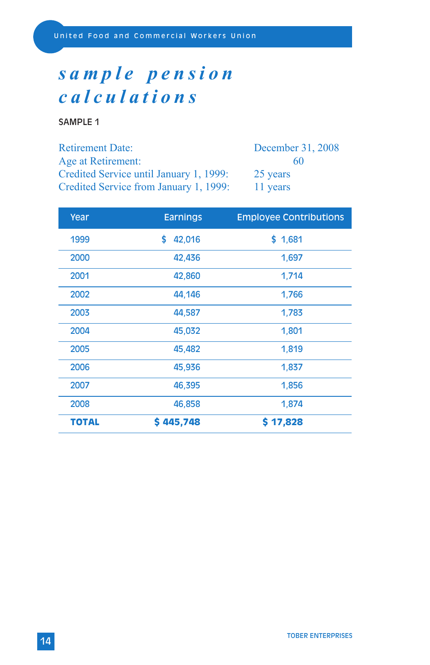# *s a m p l e p e n s i o n calculations*

SAMPLE 1

| <b>Retirement Date:</b>                 | December 31, 2008 |
|-----------------------------------------|-------------------|
| Age at Retirement:                      | 60                |
| Credited Service until January 1, 1999: | 25 years          |
| Credited Service from January 1, 1999:  | 11 years          |

| Year  | <b>Earnings</b> | <b>Employee Contributions</b> |
|-------|-----------------|-------------------------------|
| 1999  | \$<br>42,016    | \$1,681                       |
| 2000  | 42,436          | 1,697                         |
| 2001  | 42,860          | 1,714                         |
| 2002  | 44,146          | 1,766                         |
| 2003  | 44,587          | 1,783                         |
| 2004  | 45,032          | 1,801                         |
| 2005  | 45,482          | 1,819                         |
| 2006  | 45,936          | 1,837                         |
| 2007  | 46,395          | 1,856                         |
| 2008  | 46,858          | 1,874                         |
| TOTAL | \$445,748       | \$17,828                      |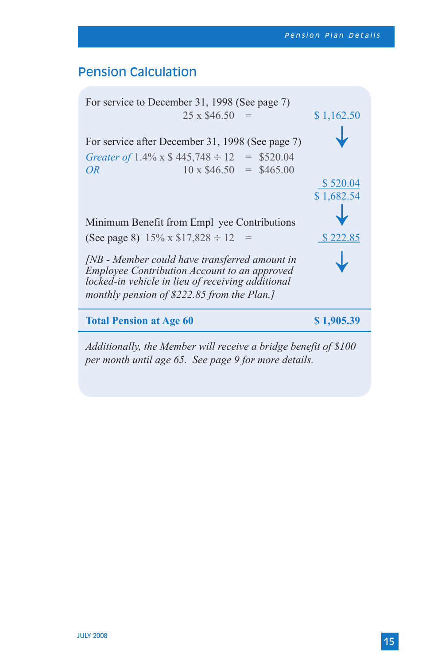## Pension Calculation

| For service to December 31, 1998 (See page 7)                                                                                                                                                     |            |  |  |
|---------------------------------------------------------------------------------------------------------------------------------------------------------------------------------------------------|------------|--|--|
| 25 x \$46.50                                                                                                                                                                                      | \$1,162.50 |  |  |
| For service after December 31, 1998 (See page 7)<br>Greater of 1.4% x $$445,748 \div 12 = $520.04$<br>$10 \times $46.50 = $465.00$<br>OR <sub>.</sub>                                             | \$520.04   |  |  |
|                                                                                                                                                                                                   | \$1,682.54 |  |  |
| Minimum Benefit from Empl yee Contributions                                                                                                                                                       |            |  |  |
| (See page 8) $15\% \times \$17,828 \div 12 =$                                                                                                                                                     | \$222.85   |  |  |
| [NB - Member could have transferred amount in<br>Employee Contribution Account to an approved<br>locked-in vehicle in lieu of receiving additional<br>monthly pension of \$222.85 from the Plan.] |            |  |  |
| <b>Total Pension at Age 60</b>                                                                                                                                                                    | \$1,905.39 |  |  |
| Additionally, the Member will receive a bridge benefit of \$100                                                                                                                                   |            |  |  |

*per month until age 65. See page 9 for more details.*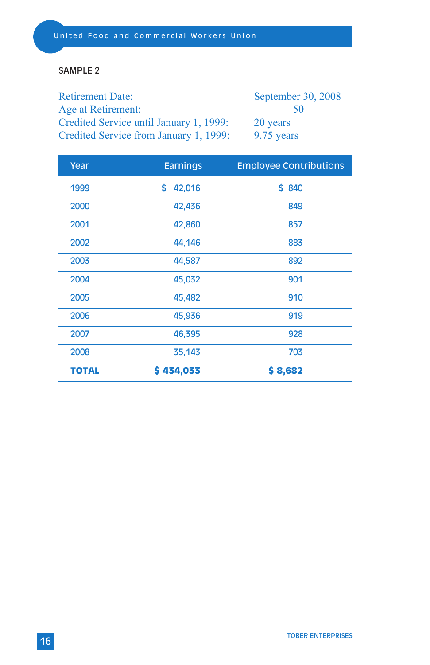### SAMPLE 2

Retirement Date: September 30, 2008 Age at Retirement: 50 Credited Service until January 1, 1999: 20 years Credited Service from January 1, 1999: 9.75 years

| Year         | <b>Earnings</b> | <b>Employee Contributions</b> |
|--------------|-----------------|-------------------------------|
| 1999         | 42,016<br>S     | \$840                         |
| 2000         | 42,436          | 849                           |
| 2001         | 42,860          | 857                           |
| 2002         | 44,146          | 883                           |
| 2003         | 44,587          | 892                           |
| 2004         | 45,032          | 901                           |
| 2005         | 45,482          | 910                           |
| 2006         | 45,936          | 919                           |
| 2007         | 46,395          | 928                           |
| 2008         | 35,143          | 703                           |
| <b>TOTAL</b> | \$434,033       | \$8,682                       |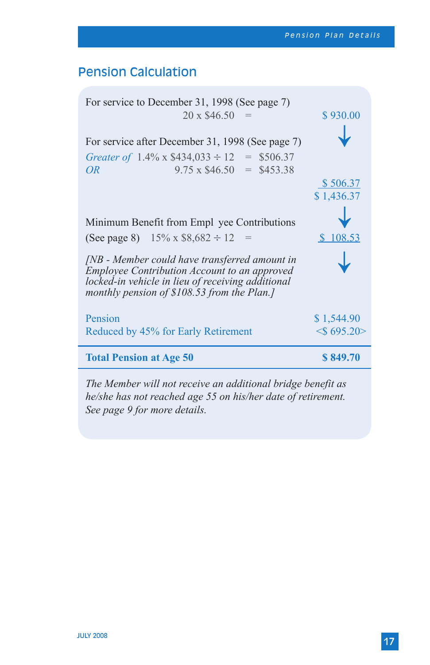## Pension Calculation

| For service to December 31, 1998 (See page 7)<br>$20 \times \$46.50 =$                                                                                                                             | \$930.00               |
|----------------------------------------------------------------------------------------------------------------------------------------------------------------------------------------------------|------------------------|
| For service after December 31, 1998 (See page 7)<br>Greater of $1.4\%$ x \$434,033 $\div$ 12 = \$506.37<br>$9.75 \times $46.50 = $453.38$<br>OR <sub></sub>                                        | \$506.37<br>\$1,436.37 |
| Minimum Benefit from Empl yee Contributions<br>(See page 8) $15\% \times $8,682 \div 12 =$                                                                                                         | \$108.53               |
| [NB - Member could have transferred amount in<br>Employee Contribution Account to an approved<br>locked-in vehicle in lieu of receiving additional<br>monthly pension of $$108.53$ from the Plan.] |                        |
| Pension                                                                                                                                                                                            | \$1,544.90             |
| Reduced by 45% for Early Retirement                                                                                                                                                                | $\leq$ 695.20>         |
| <b>Total Pension at Age 50</b>                                                                                                                                                                     | \$849.70               |
|                                                                                                                                                                                                    |                        |

*The Member will not receive an additional bridge benefit as he/she has not reached age 55 on his/her date of retirement. See page 9 for more details.*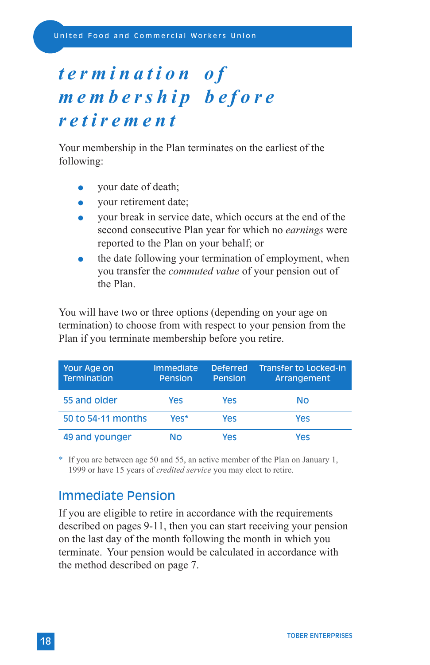# *t e r m i n a t i o n o f m e m b e r s h i p b e f o r e retirement*

Your membership in the Plan terminates on the earliest of the following:

- your date of death;
- vour retirement date;
- your break in service date, which occurs at the end of the second consecutive Plan year for which no *earnings* were reported to the Plan on your behalf; or
- the date following your termination of employment, when you transfer the *commuted value* of your pension out of the Plan.

You will have two or three options (depending on your age on termination) to choose from with respect to your pension from the Plan if you terminate membership before you retire.

| Your Age on<br>Termination | <b>Immediate</b><br>Pension | <b>Deferred</b><br>Pension | <b>Transfer to Locked-in</b><br>Arrangement |
|----------------------------|-----------------------------|----------------------------|---------------------------------------------|
| 55 and older               | Yes                         | Yes                        | Νo                                          |
| 50 to 54-11 months         | Yes*                        | Yes                        | Yes                                         |
| 49 and younger             | Nο                          | Yes                        | Yes                                         |

If you are between age 50 and 55, an active member of the Plan on January 1, 1999 or have 15 years of *credited service* you may elect to retire.

### Immediate Pension

If you are eligible to retire in accordance with the requirements described on pages 9-11, then you can start receiving your pension on the last day of the month following the month in which you terminate. Your pension would be calculated in accordance with the method described on page 7.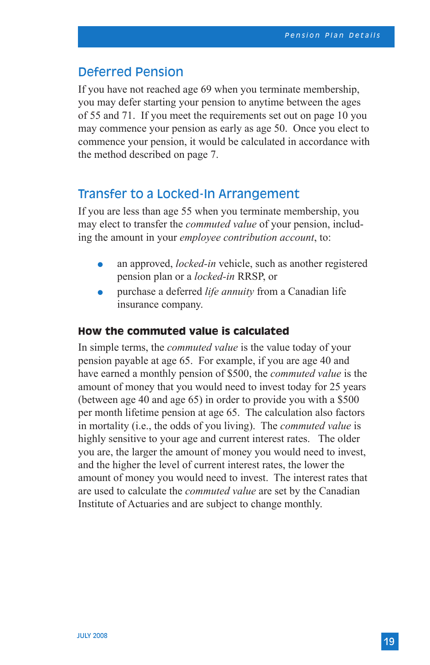### Deferred Pension

If you have not reached age 69 when you terminate membership, you may defer starting your pension to anytime between the ages of 55 and 71. If you meet the requirements set out on page 10 you may commence your pension as early as age 50. Once you elect to commence your pension, it would be calculated in accordance with the method described on page 7.

### Transfer to a Locked-In Arrangement

If you are less than age 55 when you terminate membership, you may elect to transfer the *commuted value* of your pension, including the amount in your *employee contribution account*, to:

- an approved, *locked-in* vehicle, such as another registered pension plan or a *locked-in* RRSP, or
- purchase a deferred *life annuity* from a Canadian life insurance company.

### **How the commuted value is calculated**

In simple terms, the *commuted value* is the value today of your pension payable at age 65. For example, if you are age 40 and have earned a monthly pension of \$500, the *commuted value* is the amount of money that you would need to invest today for 25 years (between age 40 and age 65) in order to provide you with a \$500 per month lifetime pension at age 65. The calculation also factors in mortality (i.e., the odds of you living). The *commuted value* is highly sensitive to your age and current interest rates. The older you are, the larger the amount of money you would need to invest, and the higher the level of current interest rates, the lower the amount of money you would need to invest. The interest rates that are used to calculate the *commuted value* are set by the Canadian Institute of Actuaries and are subject to change monthly.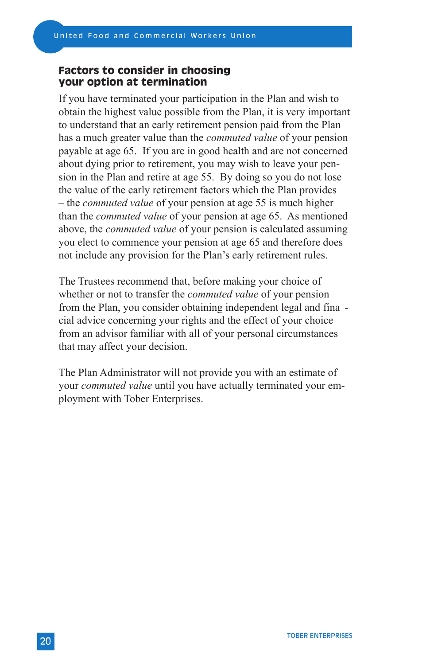### **Factors to consider in choosing your option at termination**

If you have terminated your participation in the Plan and wish to obtain the highest value possible from the Plan, it is very important to understand that an early retirement pension paid from the Plan has a much greater value than the *commuted value* of your pension payable at age 65. If you are in good health and are not concerned about dying prior to retirement, you may wish to leave your pension in the Plan and retire at age 55. By doing so you do not lose the value of the early retirement factors which the Plan provides – the *commuted value* of your pension at age 55 is much higher than the *commuted value* of your pension at age 65. As mentioned above, the *commuted value* of your pension is calculated assuming you elect to commence your pension at age 65 and therefore does not include any provision for the Plan's early retirement rules.

The Trustees recommend that, before making your choice of whether or not to transfer the *commuted value* of your pension from the Plan, you consider obtaining independent legal and fina cial advice concerning your rights and the effect of your choice from an advisor familiar with all of your personal circumstances that may affect your decision.

The Plan Administrator will not provide you with an estimate of your *commuted value* until you have actually terminated your employment with Tober Enterprises.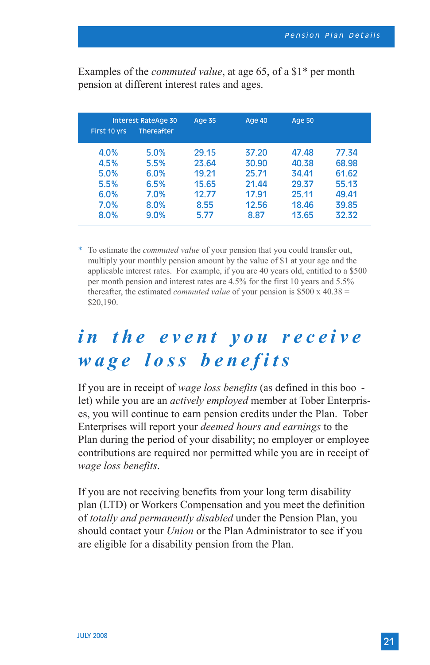Examples of the *commuted value*, at age 65, of a \$1\* per month pension at different interest rates and ages.

| First 10 yrs | <b>Interest RateAge 30</b><br>Thereafter | <b>Age 35</b> | <b>Age 40</b> | Age 50 |       |
|--------------|------------------------------------------|---------------|---------------|--------|-------|
| 4.0%         | 5.0%                                     | 29.15         | 37.20         | 47.48  | 77.34 |
| 4.5%         | 5.5%                                     | 23.64         | 30.90         | 40.38  | 68.98 |
| 5.0%         | 6.0%                                     | 19.21         | 25.71         | 34.41  | 61.62 |
| 5.5%         | 6.5%                                     | 15.65         | 21.44         | 29.37  | 55.13 |
| 6.0%         | 7.0%                                     | 12.77         | 17.91         | 25.11  | 49.41 |
| 7.0%         | 8.0%                                     | 8.55          | 12.56         | 18.46  | 39.85 |
| 8.0%         | 9.0%                                     | 5.77          | 8.87          | 13.65  | 32.32 |

\* To estimate the *commuted value* of your pension that you could transfer out, multiply your monthly pension amount by the value of \$1 at your age and the applicable interest rates. For example, if you are 40 years old, entitled to a \$500 per month pension and interest rates are 4.5% for the first 10 years and 5.5% thereafter, the estimated *commuted value* of your pension is \$500 x 40.38 = \$20,190.

## *i n t h e e v e n t y o u r e c e i v e wage loss benefits*

If you are in receipt of *wage loss benefits* (as defined in this boo let) while you are an *actively employed* member at Tober Enterprises, you will continue to earn pension credits under the Plan. Tober Enterprises will report your *deemed hours and earnings* to the Plan during the period of your disability; no employer or employee contributions are required nor permitted while you are in receipt of *wage loss benefits*.

If you are not receiving benefits from your long term disability plan (LTD) or Workers Compensation and you meet the definition of *totally and permanently disabled* under the Pension Plan, you should contact your *Union* or the Plan Administrator to see if you are eligible for a disability pension from the Plan.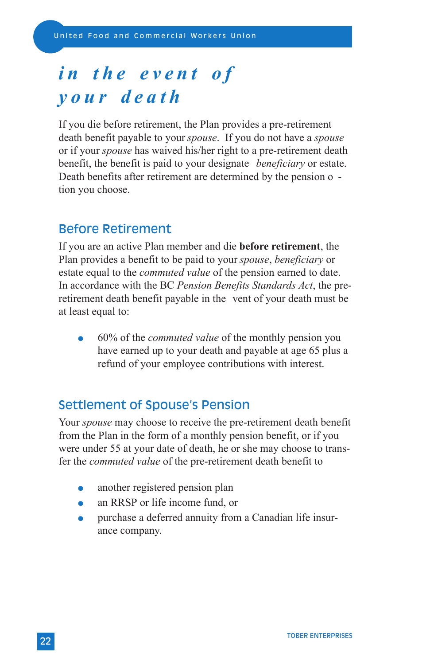# *in the event of your death*

If you die before retirement, the Plan provides a pre-retirement death benefit payable to your *spouse*. If you do not have a *spouse* or if your *spouse* has waived his/her right to a pre-retirement death benefit, the benefit is paid to your designate *beneficiary* or estate. Death benefits after retirement are determined by the pension o tion you choose.

### Before Retirement

If you are an active Plan member and die **before retirement**, the Plan provides a benefit to be paid to your *spouse*, *beneficiary* or estate equal to the *commuted value* of the pension earned to date. In accordance with the BC *Pension Benefits Standards Act*, the preretirement death benefit payable in the vent of your death must be at least equal to:

 60% of the *commuted value* of the monthly pension you have earned up to your death and payable at age 65 plus a refund of your employee contributions with interest.

## Settlement of Spouse's Pension

Your *spouse* may choose to receive the pre-retirement death benefit from the Plan in the form of a monthly pension benefit, or if you were under 55 at your date of death, he or she may choose to transfer the *commuted value* of the pre-retirement death benefit to

- another registered pension plan
- an RRSP or life income fund, or
- purchase a deferred annuity from a Canadian life insurance company.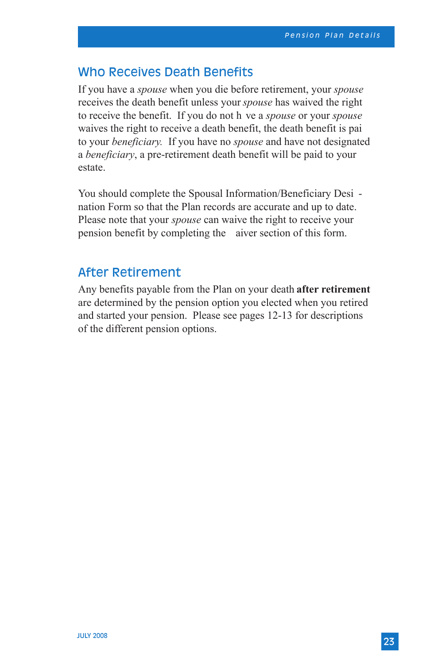### Who Receives Death Benefits

If you have a *spouse* when you die before retirement, your *spouse* receives the death benefit unless your *spouse* has waived the right to receive the benefit. If you do not h ve a *spouse* or your *spouse* waives the right to receive a death benefit, the death benefit is pai to your *beneficiary.* If you have no *spouse* and have not designated a *beneficiary*, a pre-retirement death benefit will be paid to your estate.

You should complete the Spousal Information/Beneficiary Desi nation Form so that the Plan records are accurate and up to date. Please note that your *spouse* can waive the right to receive your pension benefit by completing the aiver section of this form.

### After Retirement

Any benefits payable from the Plan on your death **after retirement** are determined by the pension option you elected when you retired and started your pension. Please see pages 12-13 for descriptions of the different pension options.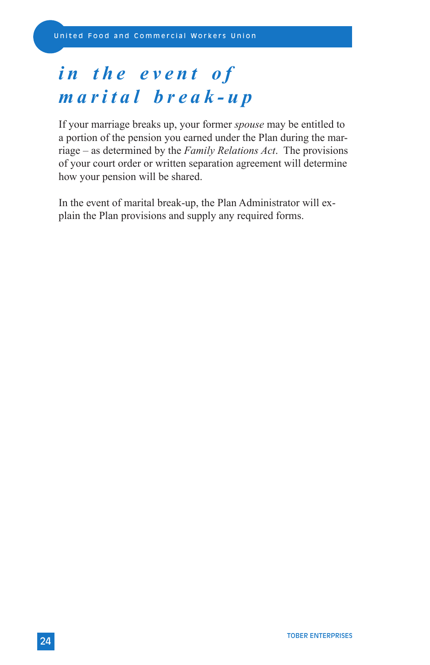# *in the event of marital break-up*

If your marriage breaks up, your former *spouse* may be entitled to a portion of the pension you earned under the Plan during the marriage – as determined by the *Family Relations Act*. The provisions of your court order or written separation agreement will determine how your pension will be shared.

In the event of marital break-up, the Plan Administrator will explain the Plan provisions and supply any required forms.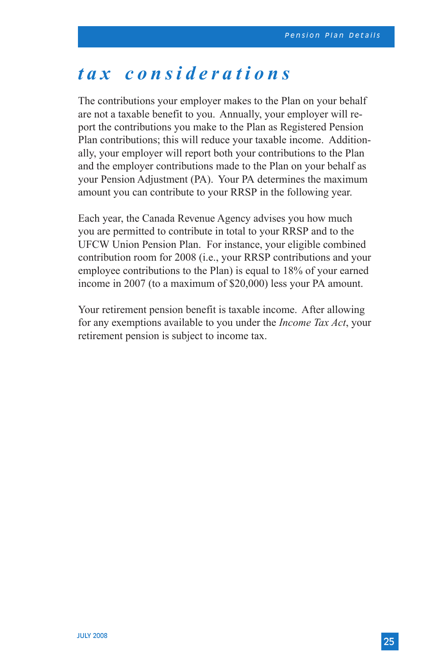## *tax considerations*

The contributions your employer makes to the Plan on your behalf are not a taxable benefit to you. Annually, your employer will report the contributions you make to the Plan as Registered Pension Plan contributions; this will reduce your taxable income. Additionally, your employer will report both your contributions to the Plan and the employer contributions made to the Plan on your behalf as your Pension Adjustment (PA). Your PA determines the maximum amount you can contribute to your RRSP in the following year.

Each year, the Canada Revenue Agency advises you how much you are permitted to contribute in total to your RRSP and to the UFCW Union Pension Plan. For instance, your eligible combined contribution room for 2008 (i.e., your RRSP contributions and your employee contributions to the Plan) is equal to 18% of your earned income in 2007 (to a maximum of \$20,000) less your PA amount.

Your retirement pension benefit is taxable income. After allowing for any exemptions available to you under the *Income Tax Act*, your retirement pension is subject to income tax.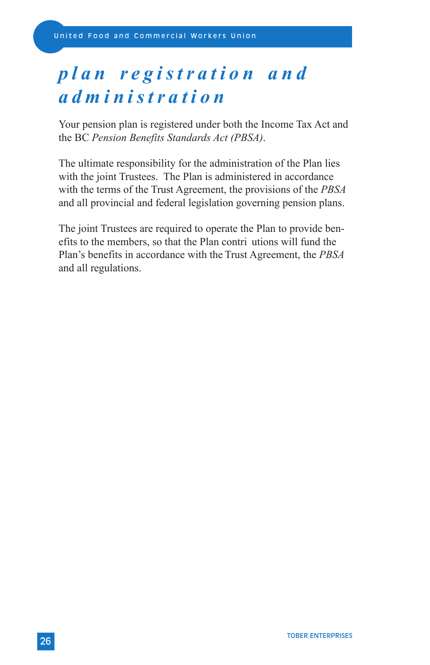# *p l a n r e g i s t r a t i o n a n d administration*

Your pension plan is registered under both the Income Tax Act and the BC *Pension Benefits Standards Act (PBSA)*.

The ultimate responsibility for the administration of the Plan lies with the joint Trustees. The Plan is administered in accordance with the terms of the Trust Agreement, the provisions of the *PBSA* and all provincial and federal legislation governing pension plans.

The joint Trustees are required to operate the Plan to provide benefits to the members, so that the Plan contri utions will fund the Plan's benefits in accordance with the Trust Agreement, the *PBSA* and all regulations.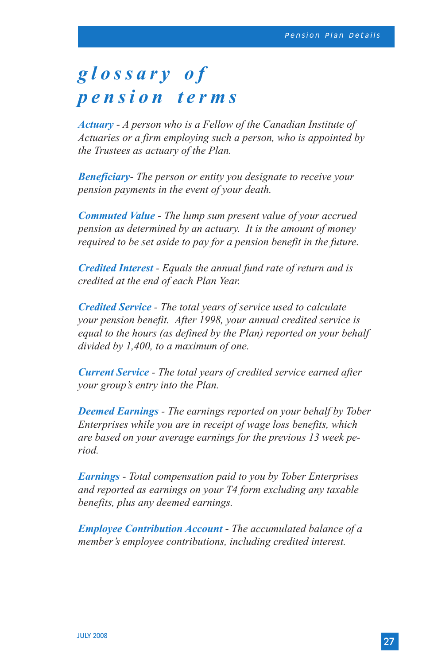## *g l o s s a r y o f pension terms*

*Actuary - A person who is a Fellow of the Canadian Institute of Actuaries or a firm employing such a person, who is appointed by the Trustees as actuary of the Plan.*

*Beneficiary- The person or entity you designate to receive your pension payments in the event of your death.*

*Commuted Value - The lump sum present value of your accrued pension as determined by an actuary. It is the amount of money required to be set aside to pay for a pension benefit in the future.*

*Credited Interest - Equals the annual fund rate of return and is credited at the end of each Plan Year.*

*Credited Service - The total years of service used to calculate your pension benefit. After 1998, your annual credited service is equal to the hours (as defined by the Plan) reported on your behalf divided by 1,400, to a maximum of one.*

*Current Service - The total years of credited service earned after your group's entry into the Plan.* 

*Deemed Earnings - The earnings reported on your behalf by Tober Enterprises while you are in receipt of wage loss benefits, which are based on your average earnings for the previous 13 week period.*

*Earnings - Total compensation paid to you by Tober Enterprises and reported as earnings on your T4 form excluding any taxable benefits, plus any deemed earnings.*

*Employee Contribution Account - The accumulated balance of a member's employee contributions, including credited interest.*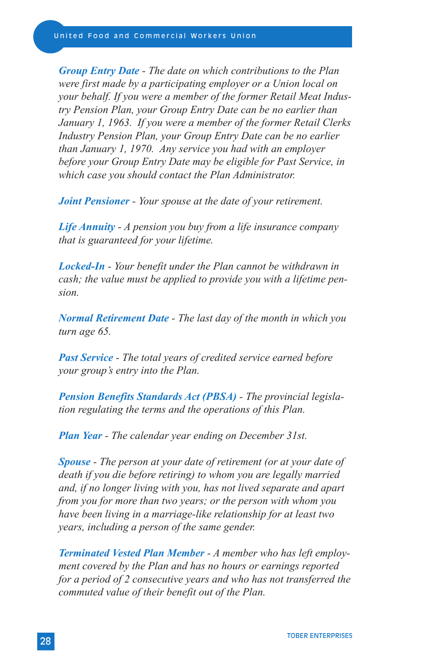*Group Entry Date - The date on which contributions to the Plan were first made by a participating employer or a Union local on your behalf. If you were a member of the former Retail Meat Industry Pension Plan, your Group Entry Date can be no earlier than January 1, 1963. If you were a member of the former Retail Clerks Industry Pension Plan, your Group Entry Date can be no earlier than January 1, 1970. Any service you had with an employer before your Group Entry Date may be eligible for Past Service, in which case you should contact the Plan Administrator.*

*Joint Pensioner - Your spouse at the date of your retirement.*

*Life Annuity - A pension you buy from a life insurance company that is guaranteed for your lifetime.*

*Locked-In - Your benefit under the Plan cannot be withdrawn in cash; the value must be applied to provide you with a lifetime pension.*

*Normal Retirement Date - The last day of the month in which you turn age 65.*

*Past Service - The total years of credited service earned before your group's entry into the Plan.*

*Pension Benefits Standards Act (PBSA) - The provincial legislation regulating the terms and the operations of this Plan.*

*Plan Year - The calendar year ending on December 31st.*

*Spouse - The person at your date of retirement (or at your date of death if you die before retiring) to whom you are legally married and, if no longer living with you, has not lived separate and apart from you for more than two years; or the person with whom you have been living in a marriage-like relationship for at least two years, including a person of the same gender.*

*Terminated Vested Plan Member - A member who has left employment covered by the Plan and has no hours or earnings reported for a period of 2 consecutive years and who has not transferred the commuted value of their benefit out of the Plan.*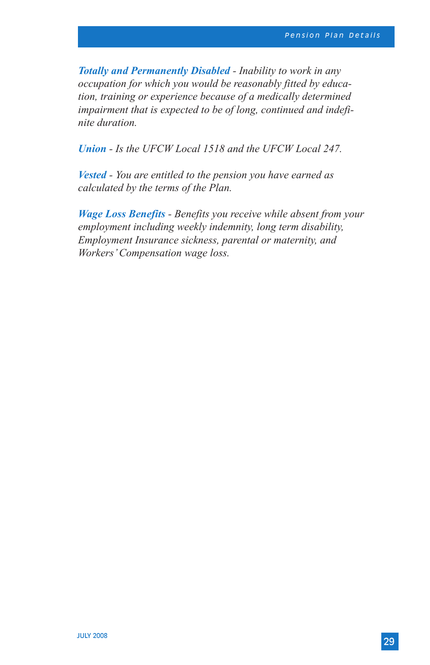*Totally and Permanently Disabled - Inability to work in any occupation for which you would be reasonably fitted by education, training or experience because of a medically determined impairment that is expected to be of long, continued and indefinite duration.*

*Union - Is the UFCW Local 1518 and the UFCW Local 247.*

*Vested - You are entitled to the pension you have earned as calculated by the terms of the Plan.*

*Wage Loss Benefits - Benefits you receive while absent from your employment including weekly indemnity, long term disability, Employment Insurance sickness, parental or maternity, and Workers' Compensation wage loss.*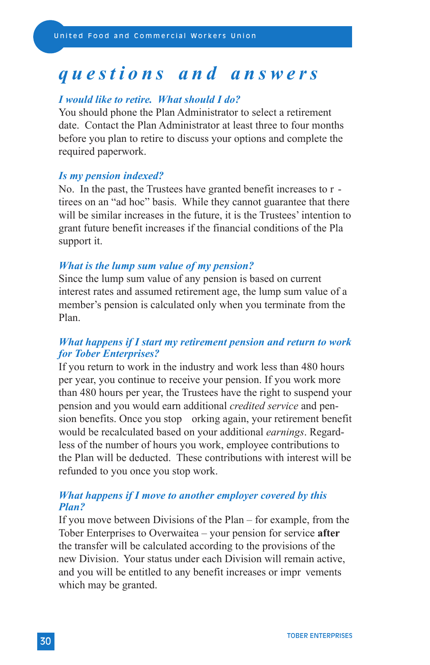## *questions and answers*

### *I would like to retire. What should I do?*

You should phone the Plan Administrator to select a retirement date. Contact the Plan Administrator at least three to four months before you plan to retire to discuss your options and complete the required paperwork.

### *Is my pension indexed?*

No. In the past, the Trustees have granted benefit increases to r tirees on an "ad hoc" basis. While they cannot guarantee that there will be similar increases in the future, it is the Trustees' intention to grant future benefit increases if the financial conditions of the Pla support it.

### *What is the lump sum value of my pension?*

Since the lump sum value of any pension is based on current interest rates and assumed retirement age, the lump sum value of a member's pension is calculated only when you terminate from the Plan.

### *What happens if I start my retirement pension and return to work for Tober Enterprises?*

If you return to work in the industry and work less than 480 hours per year, you continue to receive your pension. If you work more than 480 hours per year, the Trustees have the right to suspend your pension and you would earn additional *credited service* and pension benefits. Once you stop orking again, your retirement benefit would be recalculated based on your additional *earnings*. Regardless of the number of hours you work, employee contributions to the Plan will be deducted. These contributions with interest will be refunded to you once you stop work.

#### *What happens if I move to another employer covered by this Plan?*

If you move between Divisions of the Plan – for example, from the Tober Enterprises to Overwaitea – your pension for service **after** the transfer will be calculated according to the provisions of the new Division. Your status under each Division will remain active, and you will be entitled to any benefit increases or impr vements which may be granted.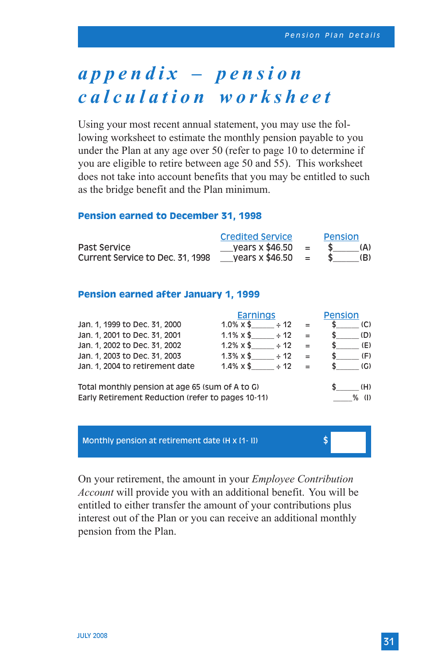# *a p p e n d i x – p e n s i o n calculation worksheet*

Using your most recent annual statement, you may use the following worksheet to estimate the monthly pension payable to you under the Plan at any age over 50 (refer to page 10 to determine if you are eligible to retire between age 50 and 55). This worksheet does not take into account benefits that you may be entitled to such as the bridge benefit and the Plan minimum.

#### **Pension earned to December 31, 1998**

|                                  | <b>Credited Service</b> |     | Pension |     |  |
|----------------------------------|-------------------------|-----|---------|-----|--|
| Past Service                     | vears $x$ \$46.50       | $=$ |         | (A) |  |
| Current Service to Dec. 31, 1998 | vears x \$46.50         | $=$ |         | (B) |  |

#### **Pension earned after January 1, 1999**

|                                                                                                      | <b>Earnings</b>                |     | <b>Pension</b> |
|------------------------------------------------------------------------------------------------------|--------------------------------|-----|----------------|
| Jan. 1, 1999 to Dec. 31, 2000                                                                        | $1.0\% \times$ \$<br>$\div$ 12 | $=$ | (C)            |
| Jan. 1, 2001 to Dec. 31, 2001                                                                        | $1.1\% \times$ \$<br>$\div$ 12 | $=$ | (D)            |
| Jan. 1, 2002 to Dec. 31, 2002                                                                        | $1.2\% \times$ \$<br>$\div$ 12 | $=$ | (E)            |
| Jan. 1, 2003 to Dec. 31, 2003                                                                        | $1.3\% \times$ \$<br>$\div$ 12 |     | (F)            |
| Jan. 1. 2004 to retirement date                                                                      | $1.4\% \times$ \$<br>$\div$ 12 |     | (G)            |
| Total monthly pension at age 65 (sum of A to G)<br>Early Retirement Reduction (refer to pages 10-11) | (H)<br>℀<br>(1)                |     |                |

Monthly pension at retirement date  $(H \times [1 - I])$ 

On your retirement, the amount in your *Employee Contribution Account* will provide you with an additional benefit. You will be entitled to either transfer the amount of your contributions plus interest out of the Plan or you can receive an additional monthly pension from the Plan.